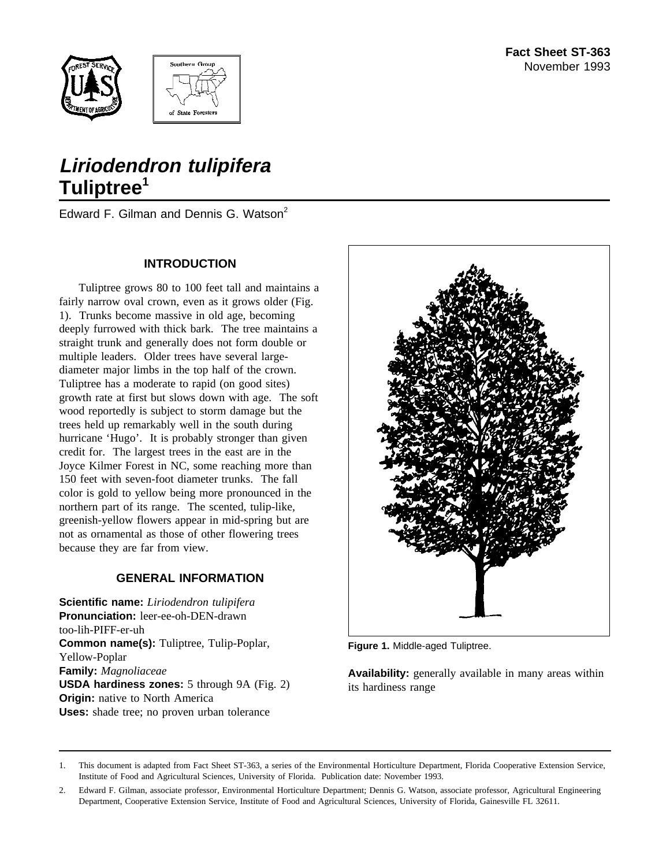



# **Liriodendron tulipifera Tuliptree<sup>1</sup>**

Edward F. Gilman and Dennis G. Watson<sup>2</sup>

### **INTRODUCTION**

Tuliptree grows 80 to 100 feet tall and maintains a fairly narrow oval crown, even as it grows older (Fig. 1). Trunks become massive in old age, becoming deeply furrowed with thick bark. The tree maintains a straight trunk and generally does not form double or multiple leaders. Older trees have several largediameter major limbs in the top half of the crown. Tuliptree has a moderate to rapid (on good sites) growth rate at first but slows down with age. The soft wood reportedly is subject to storm damage but the trees held up remarkably well in the south during hurricane 'Hugo'. It is probably stronger than given credit for. The largest trees in the east are in the Joyce Kilmer Forest in NC, some reaching more than 150 feet with seven-foot diameter trunks. The fall color is gold to yellow being more pronounced in the northern part of its range. The scented, tulip-like, greenish-yellow flowers appear in mid-spring but are not as ornamental as those of other flowering trees because they are far from view.

### **GENERAL INFORMATION**

**Scientific name:** *Liriodendron tulipifera* **Pronunciation:** leer-ee-oh-DEN-drawn too-lih-PIFF-er-uh **Common name(s):** Tuliptree, Tulip-Poplar, Yellow-Poplar **Family:** *Magnoliaceae* **USDA hardiness zones:** 5 through 9A (Fig. 2) **Origin:** native to North America **Uses:** shade tree; no proven urban tolerance



**Figure 1.** Middle-aged Tuliptree.

**Availability:** generally available in many areas within its hardiness range

<sup>1.</sup> This document is adapted from Fact Sheet ST-363, a series of the Environmental Horticulture Department, Florida Cooperative Extension Service, Institute of Food and Agricultural Sciences, University of Florida. Publication date: November 1993.

<sup>2.</sup> Edward F. Gilman, associate professor, Environmental Horticulture Department; Dennis G. Watson, associate professor, Agricultural Engineering Department, Cooperative Extension Service, Institute of Food and Agricultural Sciences, University of Florida, Gainesville FL 32611.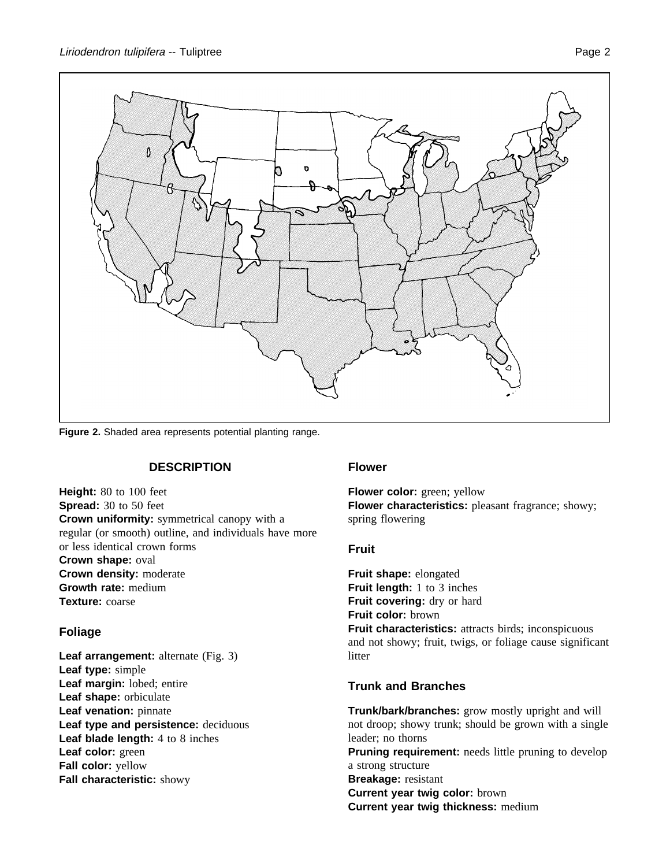

**Figure 2.** Shaded area represents potential planting range.

### **DESCRIPTION**

**Height:** 80 to 100 feet **Spread:** 30 to 50 feet **Crown uniformity:** symmetrical canopy with a regular (or smooth) outline, and individuals have more or less identical crown forms **Crown shape:** oval **Crown density:** moderate **Growth rate:** medium **Texture:** coarse

## **Foliage**

**Leaf arrangement:** alternate (Fig. 3) **Leaf type:** simple **Leaf margin:** lobed; entire **Leaf shape:** orbiculate **Leaf venation:** pinnate **Leaf type and persistence:** deciduous **Leaf blade length:** 4 to 8 inches **Leaf color:** green **Fall color:** yellow **Fall characteristic:** showy

### **Flower**

**Flower color:** green; yellow **Flower characteristics:** pleasant fragrance; showy; spring flowering

### **Fruit**

**Fruit shape:** elongated **Fruit length:** 1 to 3 inches Fruit covering: dry or hard **Fruit color:** brown **Fruit characteristics:** attracts birds; inconspicuous and not showy; fruit, twigs, or foliage cause significant litter

## **Trunk and Branches**

**Trunk/bark/branches:** grow mostly upright and will not droop; showy trunk; should be grown with a single leader; no thorns **Pruning requirement:** needs little pruning to develop a strong structure **Breakage:** resistant **Current year twig color:** brown **Current year twig thickness:** medium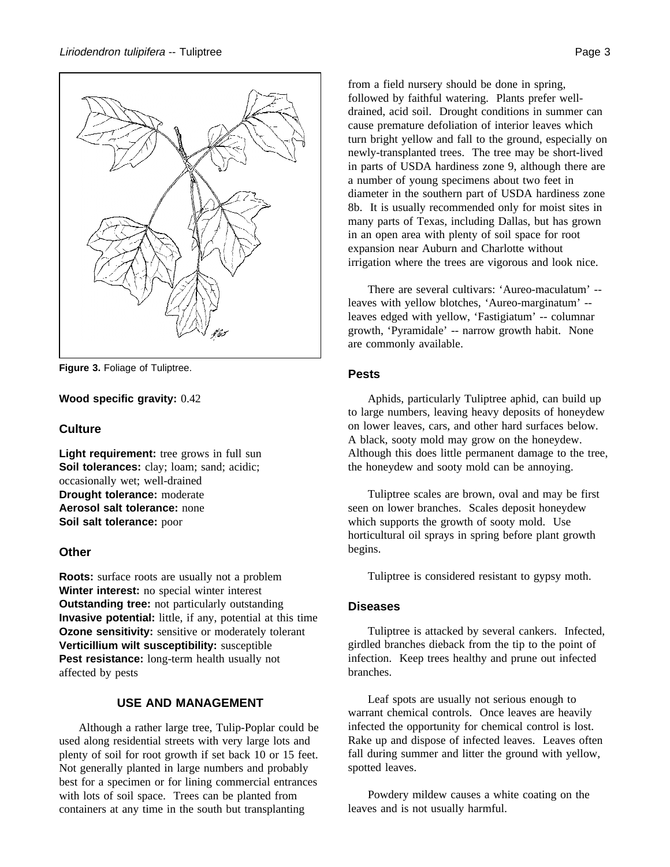

**Figure 3.** Foliage of Tuliptree.

#### **Wood specific gravity:** 0.42

#### **Culture**

**Light requirement:** tree grows in full sun **Soil tolerances:** clay; loam; sand; acidic; occasionally wet; well-drained **Drought tolerance:** moderate **Aerosol salt tolerance:** none **Soil salt tolerance:** poor

#### **Other**

**Roots:** surface roots are usually not a problem **Winter interest:** no special winter interest **Outstanding tree:** not particularly outstanding **Invasive potential:** little, if any, potential at this time **Ozone sensitivity:** sensitive or moderately tolerant **Verticillium wilt susceptibility:** susceptible **Pest resistance:** long-term health usually not affected by pests

## **USE AND MANAGEMENT**

Although a rather large tree, Tulip-Poplar could be used along residential streets with very large lots and plenty of soil for root growth if set back 10 or 15 feet. Not generally planted in large numbers and probably best for a specimen or for lining commercial entrances with lots of soil space. Trees can be planted from containers at any time in the south but transplanting

from a field nursery should be done in spring, followed by faithful watering. Plants prefer welldrained, acid soil. Drought conditions in summer can cause premature defoliation of interior leaves which turn bright yellow and fall to the ground, especially on newly-transplanted trees. The tree may be short-lived in parts of USDA hardiness zone 9, although there are a number of young specimens about two feet in diameter in the southern part of USDA hardiness zone 8b. It is usually recommended only for moist sites in many parts of Texas, including Dallas, but has grown in an open area with plenty of soil space for root expansion near Auburn and Charlotte without irrigation where the trees are vigorous and look nice.

There are several cultivars: 'Aureo-maculatum' - leaves with yellow blotches, 'Aureo-marginatum' - leaves edged with yellow, 'Fastigiatum' -- columnar growth, 'Pyramidale' -- narrow growth habit. None are commonly available.

#### **Pests**

Aphids, particularly Tuliptree aphid, can build up to large numbers, leaving heavy deposits of honeydew on lower leaves, cars, and other hard surfaces below. A black, sooty mold may grow on the honeydew. Although this does little permanent damage to the tree, the honeydew and sooty mold can be annoying.

Tuliptree scales are brown, oval and may be first seen on lower branches. Scales deposit honeydew which supports the growth of sooty mold. Use horticultural oil sprays in spring before plant growth begins.

Tuliptree is considered resistant to gypsy moth.

#### **Diseases**

Tuliptree is attacked by several cankers. Infected, girdled branches dieback from the tip to the point of infection. Keep trees healthy and prune out infected branches.

Leaf spots are usually not serious enough to warrant chemical controls. Once leaves are heavily infected the opportunity for chemical control is lost. Rake up and dispose of infected leaves. Leaves often fall during summer and litter the ground with yellow, spotted leaves.

Powdery mildew causes a white coating on the leaves and is not usually harmful.